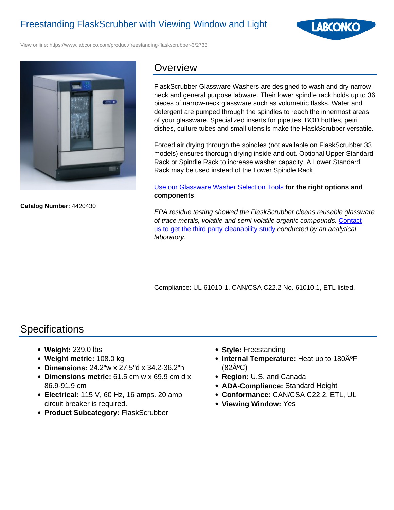

View online: https://www.labconco.com/product/freestanding-flaskscrubber-3/2733



**Catalog Number:** 4420430

## **Overview**

FlaskScrubber Glassware Washers are designed to wash and dry narrowneck and general purpose labware. Their lower spindle rack holds up to 36 pieces of narrow-neck glassware such as volumetric flasks. Water and detergent are pumped through the spindles to reach the innermost areas of your glassware. Specialized inserts for pipettes, BOD bottles, petri dishes, culture tubes and small utensils make the FlaskScrubber versatile.

Forced air drying through the spindles (not available on FlaskScrubber 33 models) ensures thorough drying inside and out. Optional Upper Standard Rack or Spindle Rack to increase washer capacity. A Lower Standard Rack may be used instead of the Lower Spindle Rack.

#### Use our Glassware Washer Selection Tools **for the right options and components**

EPA residue testing showed the FlaskScrubber cleans reusable glassware of trace metals, volatile and semi-volatile organic compounds. Contact us to get the third party cleanability study conducted by an analytical laboratory.

Compliance: UL 61010-1, CAN/CSA C22.2 No. 61010.1, ETL listed.

# **Specifications**

- **Weight:** 239.0 lbs
- **Weight metric:** 108.0 kg
- **Dimensions:** 24.2"w x 27.5"d x 34.2-36.2"h
- **Dimensions metric:** 61.5 cm w x 69.9 cm d x 86.9-91.9 cm
- **Electrical:** 115 V, 60 Hz, 16 amps. 20 amp circuit breaker is required.
- **Product Subcategory:** FlaskScrubber
- **Style:** Freestanding
- **Internal Temperature:** Heat up to 180 $\hat{A}^{\circ}F$  $(82\text{Å}^{\circ}\text{C})$
- **Region:** U.S. and Canada
- **ADA-Compliance:** Standard Height
- **Conformance:** CAN/CSA C22.2, ETL, UL
- **Viewing Window:** Yes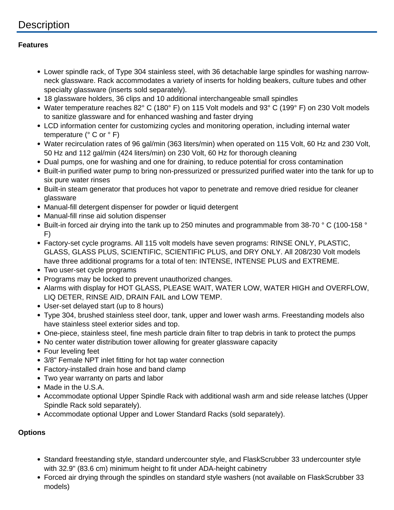# **Description**

#### **Features**

- Lower spindle rack, of Type 304 stainless steel, with 36 detachable large spindles for washing narrowneck glassware. Rack accommodates a variety of inserts for holding beakers, culture tubes and other specialty glassware (inserts sold separately).
- 18 glassware holders, 36 clips and 10 additional interchangeable small spindles
- Water temperature reaches 82° C (180° F) on 115 Volt models and 93° C (199° F) on 230 Volt models to sanitize glassware and for enhanced washing and faster drying
- LCD information center for customizing cycles and monitoring operation, including internal water temperature (° C or ° F)
- Water recirculation rates of 96 gal/min (363 liters/min) when operated on 115 Volt, 60 Hz and 230 Volt, 50 Hz and 112 gal/min (424 liters/min) on 230 Volt, 60 Hz for thorough cleaning
- Dual pumps, one for washing and one for draining, to reduce potential for cross contamination
- Built-in purified water pump to bring non-pressurized or pressurized purified water into the tank for up to six pure water rinses
- Built-in steam generator that produces hot vapor to penetrate and remove dried residue for cleaner glassware
- Manual-fill detergent dispenser for powder or liquid detergent
- Manual-fill rinse aid solution dispenser
- Built-in forced air drying into the tank up to 250 minutes and programmable from 38-70 ° C (100-158 ° F)
- Factory-set cycle programs. All 115 volt models have seven programs: RINSE ONLY, PLASTIC, GLASS, GLASS PLUS, SCIENTIFIC, SCIENTIFIC PLUS, and DRY ONLY. All 208/230 Volt models have three additional programs for a total of ten: INTENSE, INTENSE PLUS and EXTREME.
- Two user-set cycle programs
- Programs may be locked to prevent unauthorized changes.
- Alarms with display for HOT GLASS, PLEASE WAIT, WATER LOW, WATER HIGH and OVERFLOW, LIQ DETER, RINSE AID, DRAIN FAIL and LOW TEMP.
- User-set delayed start (up to 8 hours)
- Type 304, brushed stainless steel door, tank, upper and lower wash arms. Freestanding models also have stainless steel exterior sides and top.
- One-piece, stainless steel, fine mesh particle drain filter to trap debris in tank to protect the pumps
- No center water distribution tower allowing for greater glassware capacity
- Four leveling feet
- 3/8" Female NPT inlet fitting for hot tap water connection
- Factory-installed drain hose and band clamp
- Two year warranty on parts and labor
- Made in the U.S.A.
- Accommodate optional Upper Spindle Rack with additional wash arm and side release latches (Upper Spindle Rack sold separately).
- Accommodate optional Upper and Lower Standard Racks (sold separately).

### **Options**

- Standard freestanding style, standard undercounter style, and FlaskScrubber 33 undercounter style with 32.9" (83.6 cm) minimum height to fit under ADA-height cabinetry
- Forced air drying through the spindles on standard style washers (not available on FlaskScrubber 33 models)